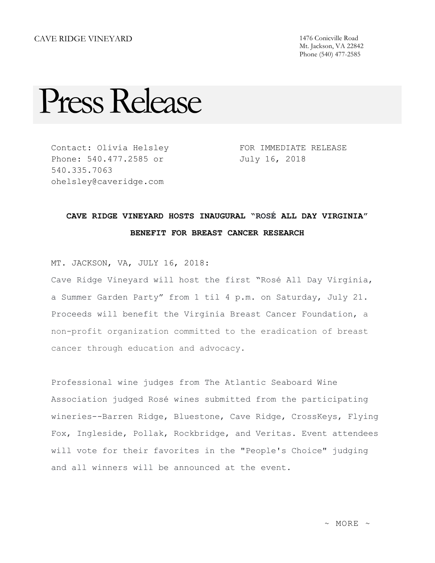Mt. Jackson, VA 22842 Phone (540) 477-2585

## Press Release

Contact: Olivia Helsley Phone: 540.477.2585 or 540.335.7063 ohelsley@caveridge.com

FOR IMMEDIATE RELEASE July 16, 2018

## **CAVE RIDGE VINEYARD HOSTS INAUGURAL "ROSÉ ALL DAY VIRGINIA" BENEFIT FOR BREAST CANCER RESEARCH**

MT. JACKSON, VA, JULY 16, 2018:

Cave Ridge Vineyard will host the first "Rosé All Day Virginia, a Summer Garden Party" from 1 til 4 p.m. on Saturday, July 21. Proceeds will benefit the Virginia Breast Cancer Foundation, a non-profit organization committed to the eradication of breast cancer through education and advocacy.

Professional wine judges from The Atlantic Seaboard Wine Association judged Rosé wines submitted from the participating wineries--Barren Ridge, Bluestone, Cave Ridge, CrossKeys, Flying Fox, Ingleside, Pollak, Rockbridge, and Veritas. Event attendees will vote for their favorites in the "People's Choice" judging and all winners will be announced at the event.